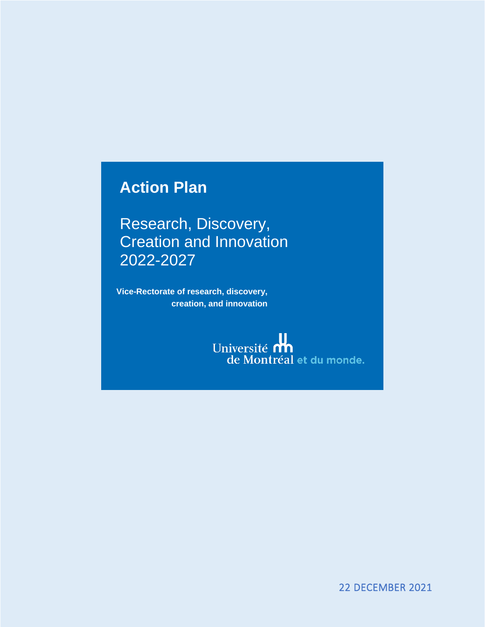## **Action Plan**

Research, Discovery, Creation and Innovation 2022-2027

**Vice-Rectorate of research, discovery, creation, and innovation**

> Université **d'a** de Montréal et du monde.

> > 22 DECEMBER 2021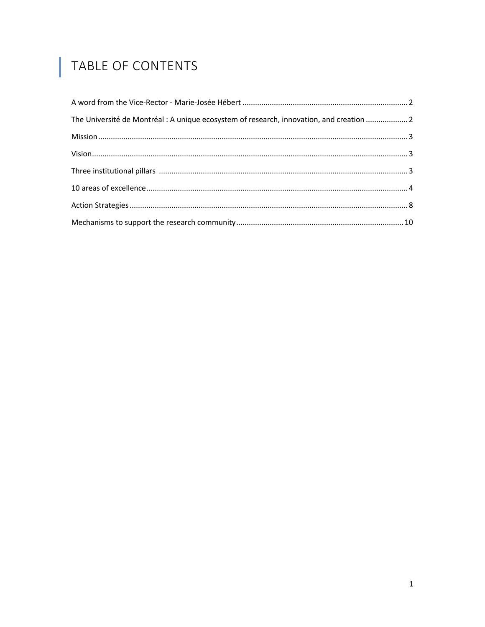# TABLE OF CONTENTS

I

| The Université de Montréal : A unique ecosystem of research, innovation, and creation  2 |  |
|------------------------------------------------------------------------------------------|--|
|                                                                                          |  |
|                                                                                          |  |
|                                                                                          |  |
|                                                                                          |  |
|                                                                                          |  |
|                                                                                          |  |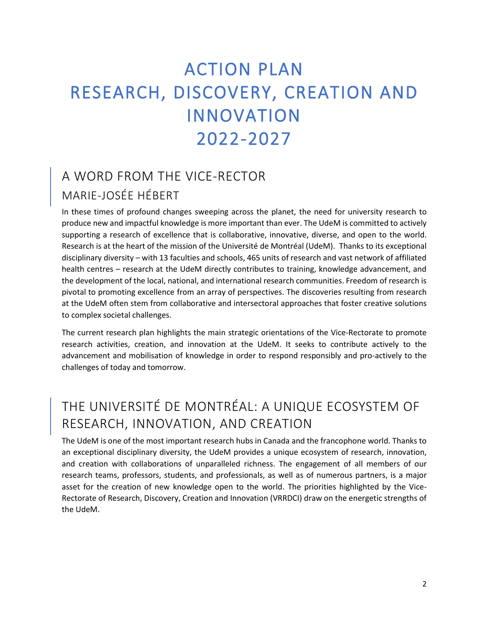# ACTION PLAN RESEARCH, DISCOVERY, CREATION AND INNOVATION 2022-2027

#### <span id="page-2-0"></span>A WORD FROM THE VICE-RECTOR MARIE-JOSÉE HÉBERT

In these times of profound changes sweeping across the planet, the need for university research to produce new and impactful knowledge is more important than ever. The UdeM is committed to actively supporting a research of excellence that is collaborative, innovative, diverse, and open to the world. Research is at the heart of the mission of the Université de Montréal (UdeM). Thanks to its exceptional disciplinary diversity – with 13 faculties and schools, 465 units of research and vast network of affiliated health centres – research at the UdeM directly contributes to training, knowledge advancement, and the development of the local, national, and international research communities. Freedom of research is pivotal to promoting excellence from an array of perspectives. The discoveries resulting from research at the UdeM often stem from collaborative and intersectoral approaches that foster creative solutions to complex societal challenges.

The current research plan highlights the main strategic orientations of the Vice-Rectorate to promote research activities, creation, and innovation at the UdeM. It seeks to contribute actively to the advancement and mobilisation of knowledge in order to respond responsibly and pro-actively to the challenges of today and tomorrow.

## <span id="page-2-1"></span>THE UNIVERSITÉ DE MONTRÉAL: A UNIQUE ECOSYSTEM OF RESEARCH, INNOVATION, AND CREATION

The UdeM is one of the most important research hubs in Canada and the francophone world. Thanks to an exceptional disciplinary diversity, the UdeM provides a unique ecosystem of research, innovation, and creation with collaborations of unparalleled richness. The engagement of all members of our research teams, professors, students, and professionals, as well as of numerous partners, is a major asset for the creation of new knowledge open to the world. The priorities highlighted by the Vice-Rectorate of Research, Discovery, Creation and Innovation (VRRDCI) draw on the energetic strengths of the UdeM.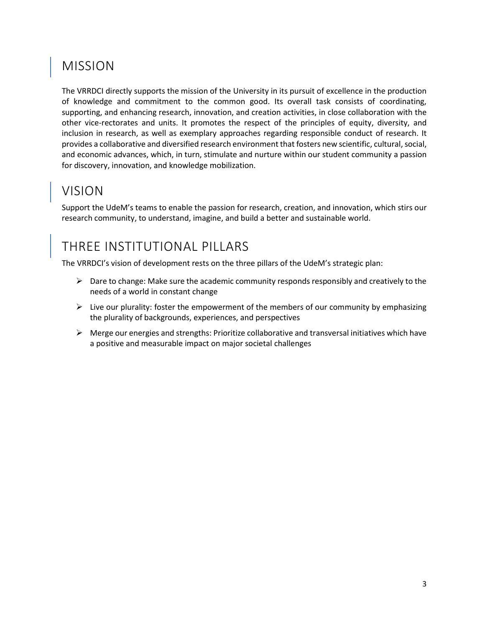## <span id="page-3-0"></span>MISSION

The VRRDCI directly supports the mission of the University in its pursuit of excellence in the production of knowledge and commitment to the common good. Its overall task consists of coordinating, supporting, and enhancing research, innovation, and creation activities, in close collaboration with the other vice-rectorates and units. It promotes the respect of the principles of equity, diversity, and inclusion in research, as well as exemplary approaches regarding responsible conduct of research. It provides a collaborative and diversified research environment that fosters new scientific, cultural, social, and economic advances, which, in turn, stimulate and nurture within our student community a passion for discovery, innovation, and knowledge mobilization.

## <span id="page-3-1"></span>VISION

Support the UdeM's teams to enable the passion for research, creation, and innovation, which stirs our research community, to understand, imagine, and build a better and sustainable world.

## <span id="page-3-2"></span>THREE INSTITUTIONAL PILLARS

The VRRDCI's vision of development rests on the three pillars of the UdeM's strategic plan:

- $\triangleright$  Dare to change: Make sure the academic community responds responsibly and creatively to the needs of a world in constant change
- $\triangleright$  Live our plurality: foster the empowerment of the members of our community by emphasizing the plurality of backgrounds, experiences, and perspectives
- $\triangleright$  Merge our energies and strengths: Prioritize collaborative and transversal initiatives which have a positive and measurable impact on major societal challenges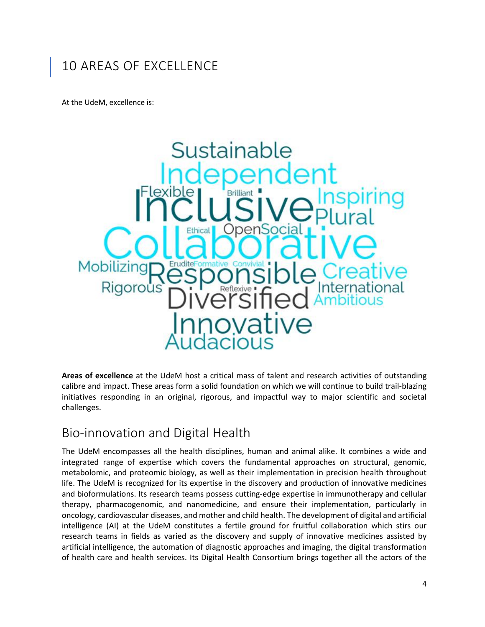#### <span id="page-4-0"></span>10 AREAS OF EXCELLENCE

At the UdeM, excellence is:



**Areas of excellence** at the UdeM host a critical mass of talent and research activities of outstanding calibre and impact. These areas form a solid foundation on which we will continue to build trail-blazing initiatives responding in an original, rigorous, and impactful way to major scientific and societal challenges.

#### Bio-innovation and Digital Health

The UdeM encompasses all the health disciplines, human and animal alike. It combines a wide and integrated range of expertise which covers the fundamental approaches on structural, genomic, metabolomic, and proteomic biology, as well as their implementation in precision health throughout life. The UdeM is recognized for its expertise in the discovery and production of innovative medicines and bioformulations. Its research teams possess cutting-edge expertise in immunotherapy and cellular therapy, pharmacogenomic, and nanomedicine, and ensure their implementation, particularly in oncology, cardiovascular diseases, and mother and child health. The development of digital and artificial intelligence (AI) at the UdeM constitutes a fertile ground for fruitful collaboration which stirs our research teams in fields as varied as the discovery and supply of innovative medicines assisted by artificial intelligence, the automation of diagnostic approaches and imaging, the digital transformation of health care and health services. Its Digital Health Consortium brings together all the actors of the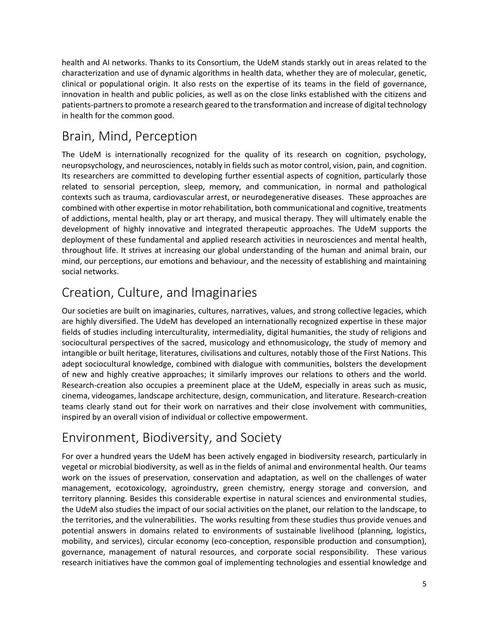health and AI networks. Thanks to its Consortium, the UdeM stands starkly out in areas related to the characterization and use of dynamic algorithms in health data, whether they are of molecular, genetic, clinical or populational origin. It also rests on the expertise of its teams in the field of governance, innovation in health and public policies, as well as on the close links established with the citizens and patients-partners to promote a research geared to the transformation and increase of digital technology in health for the common good.

### Brain, Mind, Perception

The UdeM is internationally recognized for the quality of its research on cognition, psychology, neuropsychology, and neurosciences, notably in fields such as motor control, vision, pain, and cognition. Its researchers are committed to developing further essential aspects of cognition, particularly those related to sensorial perception, sleep, memory, and communication, in normal and pathological contexts such as trauma, cardiovascular arrest, or neurodegenerative diseases. These approaches are combined with other expertise in motor rehabilitation, both communicational and cognitive, treatments of addictions, mental health, play or art therapy, and musical therapy. They will ultimately enable the development of highly innovative and integrated therapeutic approaches. The UdeM supports the deployment of these fundamental and applied research activities in neurosciences and mental health, throughout life. It strives at increasing our global understanding of the human and animal brain, our mind, our perceptions, our emotions and behaviour, and the necessity of establishing and maintaining social networks.

## Creation, Culture, and Imaginaries

Our societies are built on imaginaries, cultures, narratives, values, and strong collective legacies, which are highly diversified. The UdeM has developed an internationally recognized expertise in these major fields of studies including interculturality, intermediality, digital humanities, the study of religions and sociocultural perspectives of the sacred, musicology and ethnomusicology, the study of memory and intangible or built heritage, literatures, civilisations and cultures, notably those of the First Nations. This adept sociocultural knowledge, combined with dialogue with communities, bolsters the development of new and highly creative approaches; it similarly improves our relations to others and the world. Research-creation also occupies a preeminent place at the UdeM, especially in areas such as music, cinema, videogames, landscape architecture, design, communication, and literature. Research-creation teams clearly stand out for their work on narratives and their close involvement with communities, inspired by an overall vision of individual or collective empowerment.

## Environment, Biodiversity, and Society

For over a hundred years the UdeM has been actively engaged in biodiversity research, particularly in vegetal or microbial biodiversity, as well as in the fields of animal and environmental health. Our teams work on the issues of preservation, conservation and adaptation, as well on the challenges of water management, ecotoxicology, agroindustry, green chemistry, energy storage and conversion, and territory planning. Besides this considerable expertise in natural sciences and environmental studies, the UdeM also studies the impact of our social activities on the planet, our relation to the landscape, to the territories, and the vulnerabilities. The works resulting from these studies thus provide venues and potential answers in domains related to environments of sustainable livelihood (planning, logistics, mobility, and services), circular economy (eco-conception, responsible production and consumption), governance, management of natural resources, and corporate social responsibility. These various research initiatives have the common goal of implementing technologies and essential knowledge and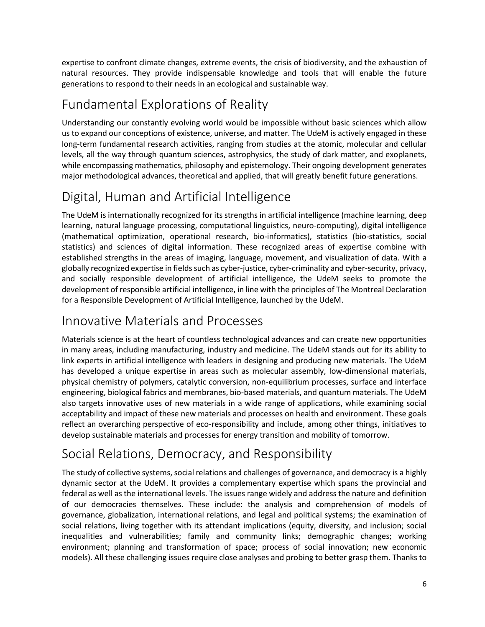expertise to confront climate changes, extreme events, the crisis of biodiversity, and the exhaustion of natural resources. They provide indispensable knowledge and tools that will enable the future generations to respond to their needs in an ecological and sustainable way.

#### Fundamental Explorations of Reality

Understanding our constantly evolving world would be impossible without basic sciences which allow us to expand our conceptions of existence, universe, and matter. The UdeM is actively engaged in these long-term fundamental research activities, ranging from studies at the atomic, molecular and cellular levels, all the way through quantum sciences, astrophysics, the study of dark matter, and exoplanets, while encompassing mathematics, philosophy and epistemology. Their ongoing development generates major methodological advances, theoretical and applied, that will greatly benefit future generations.

#### Digital, Human and Artificial Intelligence

The UdeM is internationally recognized for its strengths in artificial intelligence (machine learning, deep learning, natural language processing, computational linguistics, neuro-computing), digital intelligence (mathematical optimization, operational research, bio-informatics), statistics (bio-statistics, social statistics) and sciences of digital information. These recognized areas of expertise combine with established strengths in the areas of imaging, language, movement, and visualization of data. With a globally recognized expertise in fields such as cyber-justice, cyber-criminality and cyber-security, privacy, and socially responsible development of artificial intelligence, the UdeM seeks to promote the development of responsible artificial intelligence, in line with the principles of The Montreal Declaration for a Responsible Development of Artificial Intelligence, launched by the UdeM.

#### Innovative Materials and Processes

Materials science is at the heart of countless technological advances and can create new opportunities in many areas, including manufacturing, industry and medicine. The UdeM stands out for its ability to link experts in artificial intelligence with leaders in designing and producing new materials. The UdeM has developed a unique expertise in areas such as molecular assembly, low-dimensional materials, physical chemistry of polymers, catalytic conversion, non-equilibrium processes, surface and interface engineering, biological fabrics and membranes, bio-based materials, and quantum materials. The UdeM also targets innovative uses of new materials in a wide range of applications, while examining social acceptability and impact of these new materials and processes on health and environment. These goals reflect an overarching perspective of eco-responsibility and include, among other things, initiatives to develop sustainable materials and processes for energy transition and mobility of tomorrow.

#### Social Relations, Democracy, and Responsibility

The study of collective systems, social relations and challenges of governance, and democracy is a highly dynamic sector at the UdeM. It provides a complementary expertise which spans the provincial and federal as well as the international levels. The issues range widely and address the nature and definition of our democracies themselves. These include: the analysis and comprehension of models of governance, globalization, international relations, and legal and political systems; the examination of social relations, living together with its attendant implications (equity, diversity, and inclusion; social inequalities and vulnerabilities; family and community links; demographic changes; working environment; planning and transformation of space; process of social innovation; new economic models). All these challenging issues require close analyses and probing to better grasp them. Thanks to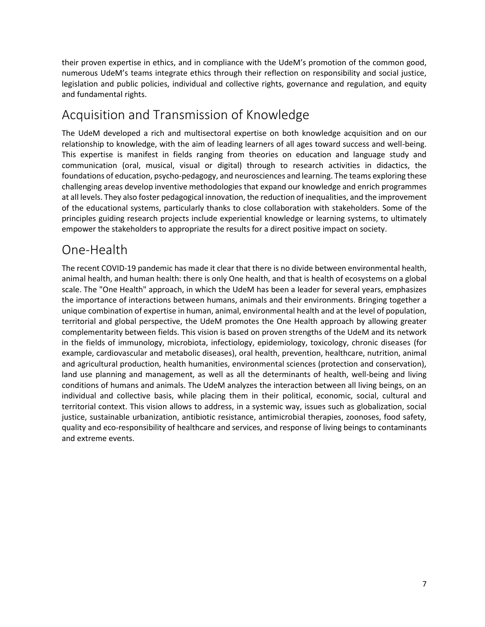their proven expertise in ethics, and in compliance with the UdeM's promotion of the common good, numerous UdeM's teams integrate ethics through their reflection on responsibility and social justice, legislation and public policies, individual and collective rights, governance and regulation, and equity and fundamental rights.

#### Acquisition and Transmission of Knowledge

The UdeM developed a rich and multisectoral expertise on both knowledge acquisition and on our relationship to knowledge, with the aim of leading learners of all ages toward success and well-being. This expertise is manifest in fields ranging from theories on education and language study and communication (oral, musical, visual or digital) through to research activities in didactics, the foundations of education, psycho-pedagogy, and neurosciences and learning. The teams exploring these challenging areas develop inventive methodologies that expand our knowledge and enrich programmes at all levels. They also foster pedagogical innovation, the reduction of inequalities, and the improvement of the educational systems, particularly thanks to close collaboration with stakeholders. Some of the principles guiding research projects include experiential knowledge or learning systems, to ultimately empower the stakeholders to appropriate the results for a direct positive impact on society.

#### One-Health

The recent COVID-19 pandemic has made it clear that there is no divide between environmental health, animal health, and human health: there is only One health, and that is health of ecosystems on a global scale. The "One Health" approach, in which the UdeM has been a leader for several years, emphasizes the importance of interactions between humans, animals and their environments. Bringing together a unique combination of expertise in human, animal, environmental health and at the level of population, territorial and global perspective, the UdeM promotes the One Health approach by allowing greater complementarity between fields. This vision is based on proven strengths of the UdeM and its network in the fields of immunology, microbiota, infectiology, epidemiology, toxicology, chronic diseases (for example, cardiovascular and metabolic diseases), oral health, prevention, healthcare, nutrition, animal and agricultural production, health humanities, environmental sciences (protection and conservation), land use planning and management, as well as all the determinants of health, well-being and living conditions of humans and animals. The UdeM analyzes the interaction between all living beings, on an individual and collective basis, while placing them in their political, economic, social, cultural and territorial context. This vision allows to address, in a systemic way, issues such as globalization, social justice, sustainable urbanization, antibiotic resistance, antimicrobial therapies, zoonoses, food safety, quality and eco-responsibility of healthcare and services, and response of living beings to contaminants and extreme events.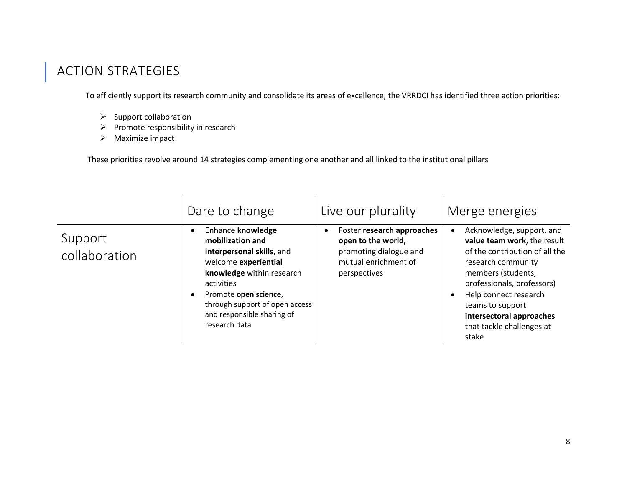## ACTION STRATEGIES

To efficiently support its research community and consolidate its areas of excellence, the VRRDCI has identified three action priorities:

- ➢ Support collaboration
- ➢ Promote responsibility in research
- ➢ Maximize impact

These priorities revolve around 14 strategies complementing one another and all linked to the institutional pillars

<span id="page-8-0"></span>

|                          | Dare to change                                                                                                                                                                                                                                  | Live our plurality                                                                                                 | Merge energies                                                                                                                                                                                                                                                                      |
|--------------------------|-------------------------------------------------------------------------------------------------------------------------------------------------------------------------------------------------------------------------------------------------|--------------------------------------------------------------------------------------------------------------------|-------------------------------------------------------------------------------------------------------------------------------------------------------------------------------------------------------------------------------------------------------------------------------------|
| Support<br>collaboration | Enhance knowledge<br>mobilization and<br>interpersonal skills, and<br>welcome experiential<br>knowledge within research<br>activities<br>Promote open science,<br>through support of open access<br>and responsible sharing of<br>research data | Foster research approaches<br>open to the world,<br>promoting dialogue and<br>mutual enrichment of<br>perspectives | Acknowledge, support, and<br>value team work, the result<br>of the contribution of all the<br>research community<br>members (students,<br>professionals, professors)<br>Help connect research<br>teams to support<br>intersectoral approaches<br>that tackle challenges at<br>stake |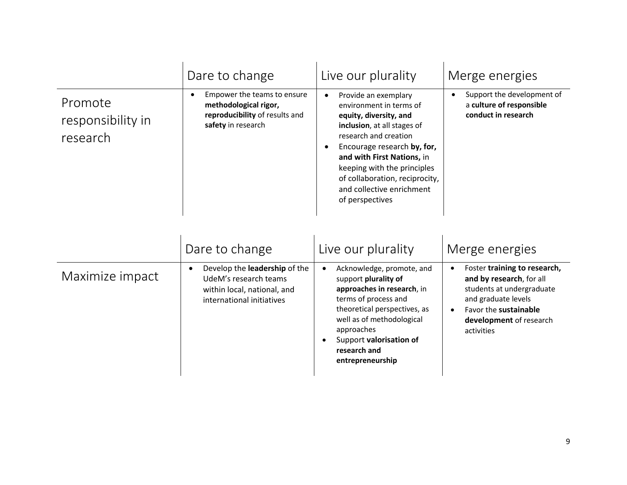|                                          | Dare to change                                                                                                                  | Live our plurality                                                                                                                                                                                                                                                                                                           | Merge energies                                                                                                                                                                                           |
|------------------------------------------|---------------------------------------------------------------------------------------------------------------------------------|------------------------------------------------------------------------------------------------------------------------------------------------------------------------------------------------------------------------------------------------------------------------------------------------------------------------------|----------------------------------------------------------------------------------------------------------------------------------------------------------------------------------------------------------|
| Promote<br>responsibility in<br>research | Empower the teams to ensure<br>methodological rigor,<br>reproducibility of results and<br>safety in research                    | Provide an exemplary<br>$\bullet$<br>environment in terms of<br>equity, diversity, and<br>inclusion, at all stages of<br>research and creation<br>Encourage research by, for,<br>and with First Nations, in<br>keeping with the principles<br>of collaboration, reciprocity,<br>and collective enrichment<br>of perspectives | Support the development of<br>$\bullet$<br>a culture of responsible<br>conduct in research                                                                                                               |
|                                          | Dare to change                                                                                                                  | Live our plurality                                                                                                                                                                                                                                                                                                           | Merge energies                                                                                                                                                                                           |
| Maximize impact                          | Develop the leadership of the<br>$\bullet$<br>UdeM's research teams<br>within local, national, and<br>international initiatives | Acknowledge, promote, and<br>support plurality of<br>approaches in research, in<br>terms of process and<br>theoretical perspectives, as<br>well as of methodological<br>approaches<br>Support valorisation of<br>research and<br>entrepreneurship                                                                            | Foster training to research,<br>$\bullet$<br>and by research, for all<br>students at undergraduate<br>and graduate levels<br>Favor the sustainable<br>$\bullet$<br>development of research<br>activities |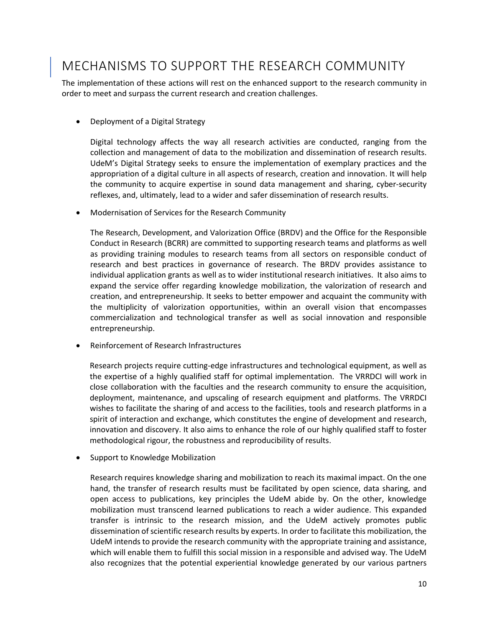## <span id="page-10-0"></span>MECHANISMS TO SUPPORT THE RESEARCH COMMUNITY

The implementation of these actions will rest on the enhanced support to the research community in order to meet and surpass the current research and creation challenges.

• Deployment of a Digital Strategy

Digital technology affects the way all research activities are conducted, ranging from the collection and management of data to the mobilization and dissemination of research results. UdeM's Digital Strategy seeks to ensure the implementation of exemplary practices and the appropriation of a digital culture in all aspects of research, creation and innovation. It will help the community to acquire expertise in sound data management and sharing, cyber-security reflexes, and, ultimately, lead to a wider and safer dissemination of research results.

• Modernisation of Services for the Research Community

The Research, Development, and Valorization Office (BRDV) and the Office for the Responsible Conduct in Research (BCRR) are committed to supporting research teams and platforms as well as providing training modules to research teams from all sectors on responsible conduct of research and best practices in governance of research. The BRDV provides assistance to individual application grants as well as to wider institutional research initiatives. It also aims to expand the service offer regarding knowledge mobilization, the valorization of research and creation, and entrepreneurship. It seeks to better empower and acquaint the community with the multiplicity of valorization opportunities, within an overall vision that encompasses commercialization and technological transfer as well as social innovation and responsible entrepreneurship.

• Reinforcement of Research Infrastructures

Research projects require cutting-edge infrastructures and technological equipment, as well as the expertise of a highly qualified staff for optimal implementation. The VRRDCI will work in close collaboration with the faculties and the research community to ensure the acquisition, deployment, maintenance, and upscaling of research equipment and platforms. The VRRDCI wishes to facilitate the sharing of and access to the facilities, tools and research platforms in a spirit of interaction and exchange, which constitutes the engine of development and research, innovation and discovery. It also aims to enhance the role of our highly qualified staff to foster methodological rigour, the robustness and reproducibility of results.

• Support to Knowledge Mobilization

Research requires knowledge sharing and mobilization to reach its maximal impact. On the one hand, the transfer of research results must be facilitated by open science, data sharing, and open access to publications, key principles the UdeM abide by. On the other, knowledge mobilization must transcend learned publications to reach a wider audience. This expanded transfer is intrinsic to the research mission, and the UdeM actively promotes public dissemination of scientific research results by experts. In order to facilitate this mobilization, the UdeM intends to provide the research community with the appropriate training and assistance, which will enable them to fulfill this social mission in a responsible and advised way. The UdeM also recognizes that the potential experiential knowledge generated by our various partners